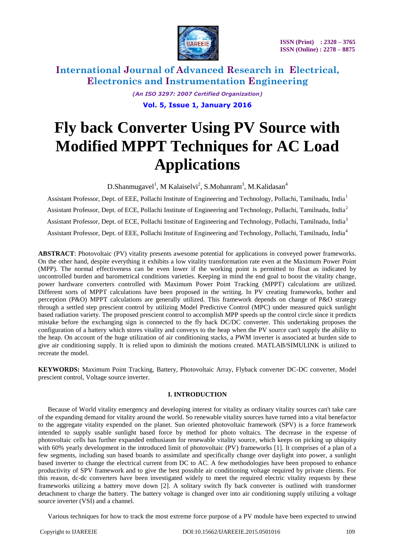

> *(An ISO 3297: 2007 Certified Organization)* **Vol. 5, Issue 1, January 2016**

# **Fly back Converter Using PV Source with Modified MPPT Techniques for AC Load Applications**

D.Shanmugavel<sup>1</sup>, M Kalaiselvi<sup>2</sup>, S.Mohanram<sup>3</sup>, M.Kalidasan<sup>4</sup>

Assistant Professor, Dept. of EEE, Pollachi Institute of Engineering and Technology, Pollachi, Tamilnadu, India<sup>1</sup> Assistant Professor, Dept. of ECE, Pollachi Institute of Engineering and Technology, Pollachi, Tamilnadu, India<sup>2</sup> Assistant Professor, Dept. of ECE, Pollachi Institute of Engineering and Technology, Pollachi, Tamilnadu, India<sup>3</sup> Assistant Professor, Dept. of EEE, Pollachi Institute of Engineering and Technology, Pollachi, Tamilnadu, India<sup>4</sup>

**ABSTRACT**: Photovoltaic (PV) vitality presents awesome potential for applications in conveyed power frameworks. On the other hand, despite everything it exhibits a low vitality transformation rate even at the Maximum Power Point (MPP). The normal effectiveness can be even lower if the working point is permitted to float as indicated by uncontrolled burden and barometrical conditions varieties. Keeping in mind the end goal to boost the vitality change, power hardware converters controlled with Maximum Power Point Tracking (MPPT) calculations are utilized. Different sorts of MPPT calculations have been proposed in the writing. In PV creating frameworks, bother and perception (P&O) MPPT calculations are generally utilized. This framework depends on change of P&O strategy through a settled step prescient control by utilizing Model Predictive Control (MPC) under measured quick sunlight based radiation variety. The proposed prescient control to accomplish MPP speeds up the control circle since it predicts mistake before the exchanging sign is connected to the fly back DC/DC converter. This undertaking proposes the configuration of a battery which stores vitality and conveys to the heap when the PV source can't supply the ability to the heap. On account of the huge utilization of air conditioning stacks, a PWM inverter is associated at burden side to give air conditioning supply. It is relied upon to diminish the motions created. MATLAB/SIMULINK is utilized to recreate the model.

**KEYWORDS:** Maximum Point Tracking, Battery, Photovoltaic Array, Flyback converter DC-DC converter, Model prescient control, Voltage source inverter.

### **I. INTRODUCTION**

Because of World vitality emergency and developing interest for vitality as ordinary vitality sources can't take care of the expanding demand for vitality around the world. So renewable vitality sources have turned into a vital benefactor to the aggregate vitality expended on the planet. Sun oriented photovoltaic framework (SPV) is a force framework intended to supply usable sunlight based force by method for photo voltaics. The decrease in the expense of photovoltaic cells has further expanded enthusiasm for renewable vitality source, which keeps on picking up ubiquity with 60% yearly development in the introduced limit of photovoltaic (PV) frameworks [1]. It comprises of a plan of a few segments, including sun based boards to assimilate and specifically change over daylight into power, a sunlight based inverter to change the electrical current from DC to AC. A few methodologies have been proposed to enhance productivity of SPV framework and to give the best possible air conditioning voltage required by private clients. For this reason, dc-dc converters have been investigated widely to meet the required electric vitality requests by these frameworks utilizing a battery move down [2]. A solitary switch fly back converter is outlined with transformer detachment to charge the battery. The battery voltage is changed over into air conditioning supply utilizing a voltage source inverter (VSI) and a channel.

Various techniques for how to track the most extreme force purpose of a PV module have been expected to unwind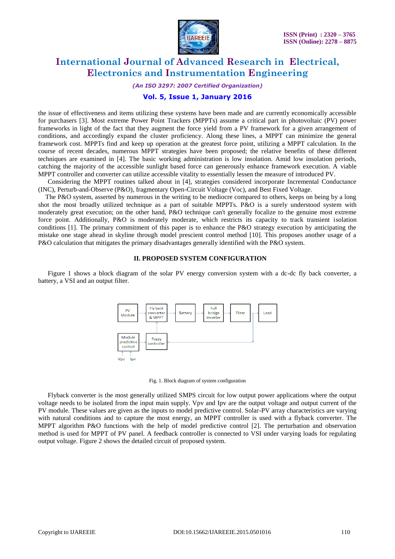

*(An ISO 3297: 2007 Certified Organization)*

#### **Vol. 5, Issue 1, January 2016**

the issue of effectiveness and items utilizing these systems have been made and are currently economically accessible for purchasers [3]. Most extreme Power Point Trackers (MPPTs) assume a critical part in photovoltaic (PV) power frameworks in light of the fact that they augment the force yield from a PV framework for a given arrangement of conditions, and accordingly expand the cluster proficiency. Along these lines, a MPPT can minimize the general framework cost. MPPTs find and keep up operation at the greatest force point, utilizing a MPPT calculation. In the course of recent decades, numerous MPPT strategies have been proposed; the relative benefits of these different techniques are examined in [4]. The basic working administration is low insolation. Amid low insolation periods, catching the majority of the accessible sunlight based force can generously enhance framework execution. A viable MPPT controller and converter can utilize accessible vitality to essentially lessen the measure of introduced PV.

Considering the MPPT routines talked about in [4], strategies considered incorporate Incremental Conductance (INC), Perturb-and-Observe (P&O), fragmentary Open-Circuit Voltage (Voc), and Best Fixed Voltage.

The P&O system, asserted by numerous in the writing to be mediocre compared to others, keeps on being by a long shot the most broadly utilized technique as a part of suitable MPPTs. P&O is a surely understood system with moderately great execution; on the other hand, P&O technique can't generally focalize to the genuine most extreme force point. Additionally, P&O is moderately moderate, which restricts its capacity to track transient isolation conditions [1]. The primary commitment of this paper is to enhance the P&O strategy execution by anticipating the mistake one stage ahead in skyline through model prescient control method [10]. This proposes another usage of a P&O calculation that mitigates the primary disadvantages generally identified with the P&O system.

#### **II. PROPOSED SYSTEM CONFIGURATION**

Figure 1 shows a block diagram of the solar PV energy conversion system with a dc-dc fly back converter, a battery, a VSI and an output filter.



Fig. 1. Block diagram of system configuration

Flyback converter is the most generally utilized SMPS circuit for low output power applications where the output voltage needs to be isolated from the input main supply. Vpv and Ipv are the output voltage and output current of the PV module. These values are given as the inputs to model predictive control. Solar-PV array characteristics are varying with natural conditions and to capture the most energy, an MPPT controller is used with a flyback converter. The MPPT algorithm P&O functions with the help of model predictive control [2]. The perturbation and observation method is used for MPPT of PV panel. A feedback controller is connected to VSI under varying loads for regulating output voltage. Figure 2 shows the detailed circuit of proposed system.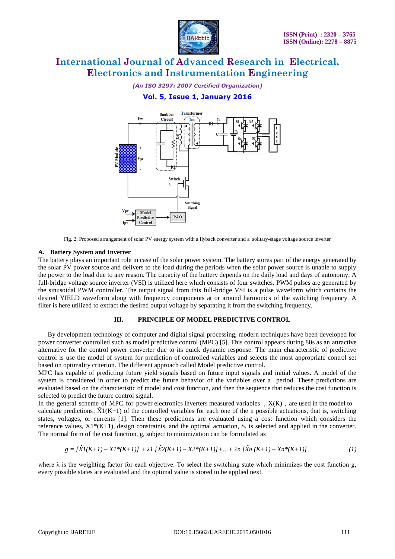

*(An ISO 3297: 2007 Certified Organization)*

### **Vol. 5, Issue 1, January 2016**



Fig. 2. Proposed arrangement of solar PV energy system with a flyback converter and a solitary-stage voltage source inverter

#### **A. Battery System and Inverter**

The battery plays an important role in case of the solar power system. The battery stores part of the energy generated by the solar PV power source and delivers to the load during the periods when the solar power source is unable to supply the power to the load due to any reason. The capacity of the battery depends on the daily load and days of autonomy. A full-bridge voltage source inverter (VSI) is utilized here which consists of four switches. PWM pulses are generated by the sinusoidal PWM controller. The output signal from this full-bridge VSI is a pulse waveform which contains the desired YIELD waveform along with frequency components at or around harmonics of the switching frequency. A filter is here utilized to extract the desired output voltage by separating it from the switching frequency.

#### **III. PRINCIPLE OF MODEL PREDICTIVE CONTROL**

By development technology of computer and digital signal processing, modern techniques have been developed for power converter controlled such as model predictive control (MPC) [5]. This control appears during 80s as an attractive alternative for the control power converter due to its quick dynamic response. The main characteristic of predictive control is use the model of system for prediction of controlled variables and selects the most appropriate control set based on optimality criterion. The different approach called Model predictive control.

MPC has capable of predicting future yield signals based on future input signals and initial values. A model of the system is considered in order to predict the future behavior of the variables over a period. These predictions are evaluated based on the characteristic of model and cost function, and then the sequence that reduces the cost function is selected to predict the future control signal.

In the general scheme of MPC for power electronics inverters measured variables,  $X(K)$ , are used in the model to calculate predictions,  $\tilde{X}1(K+1)$  of the controlled variables for each one of the n possible actuations, that is, switching states, voltages, or currents [1]. Then these predictions are evaluated using a cost function which considers the reference values,  $X1*(K+1)$ , design constraints, and the optimal actuation, S, is selected and applied in the converter. The normal form of the cost function, g, subject to minimization can be formulated as

$$
g = \left[\tilde{X}I(K+1) - XI^*(K+1)\right] + \lambda I \left[\tilde{X}2(K+1) - X2^*(K+1)\right] + \ldots + \lambda n \left[\tilde{X}n(K+1) - Xn^*(K+1)\right] \tag{1}
$$

where  $\lambda$  is the weighting factor for each objective. To select the switching state which minimizes the cost function g, every possible states are evaluated and the optimal value is stored to be applied next.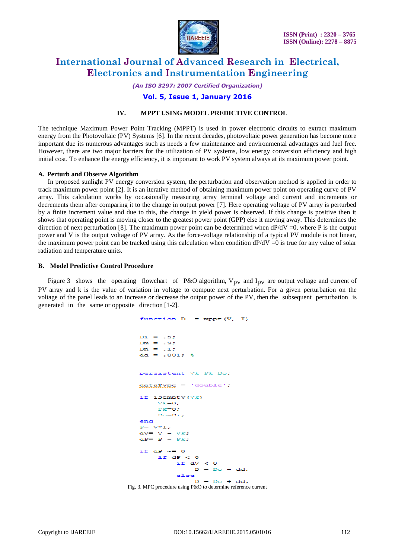

*(An ISO 3297: 2007 Certified Organization)*

### **Vol. 5, Issue 1, January 2016**

#### **IV. MPPT USING MODEL PREDICTIVE CONTROL**

The technique Maximum Power Point Tracking (MPPT) is used in power electronic circuits to extract maximum energy from the Photovoltaic (PV) Systems [6]. In the recent decades, photovoltaic power generation has become more important due its numerous advantages such as needs a few maintenance and environmental advantages and fuel free. However, there are two major barriers for the utilization of PV systems, low energy conversion efficiency and high initial cost. To enhance the energy efficiency, it is important to work PV system always at its maximum power point.

#### **A. Perturb and Observe Algorithm**

In proposed sunlight PV energy conversion system, the perturbation and observation method is applied in order to track maximum power point [2]. It is an iterative method of obtaining maximum power point on operating curve of PV array. This calculation works by occasionally measuring array terminal voltage and current and increments or decrements them after comparing it to the change in output power [7]. Here operating voltage of PV array is perturbed by a finite increment value and due to this, the change in yield power is observed. If this change is positive then it shows that operating point is moving closer to the greatest power point (GPP) else it moving away. This determines the direction of next perturbation [8]. The maximum power point can be determined when  $dP/dV = 0$ , where P is the output power and V is the output voltage of PV array. As the force-voltage relationship of a typical PV module is not linear, the maximum power point can be tracked using this calculation when condition  $dP/dV = 0$  is true for any value of solar radiation and temperature units.

#### **B. Model Predictive Control Procedure**

Figure 3 shows the operating flowchart of P&O algorithm,  $V_{pv}$  and  $I_{pv}$  are output voltage and current of PV array and k is the value of variation in voltage to compute next perturbation. For a given perturbation on the voltage of the panel leads to an increase or decrease the output power of the PV, then the subsequent perturbation is generated in the same or opposite direction [1-2].

```
function D = mppt(V, I)Di = .5;Dm = .97\frac{1}{2} Dn = .1;
   dd = .001; %
   persistent Vk Pk Do:
   dataType = 'double';if isempty(Vk)
       V = 0;
       P = 0Do = Di:
   endP = \nabla * I_idV = V - Vk;
   dP = P - Pkif dP \sim = 0if AP < 0if dV < 0D = Do - dd;else
                 D = Do + dd;Fig. 3. MPC procedure using P&O to determine reference current
```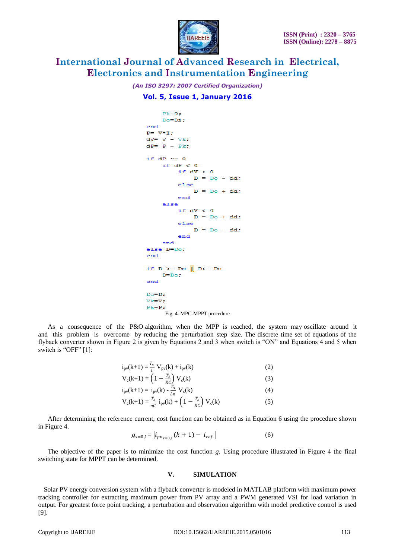

*(An ISO 3297: 2007 Certified Organization)*

### **Vol. 5, Issue 1, January 2016**

```
Pk=0:
    Do=Di;end
P = V * I;dV = V - Vk;dP = P - Pk;if dP \sim = 0if dP < 0if dV < 0D = Do - dd;else
            D = Do + ddend
    else
        if dV < 0D = Do + dd;else
             D = Do - dd;end
    end
else D=Do:
endif D \geq Dm | D \leq DnD = Do:end
Do=D;Vk=V;
Pk = P;Fig. 4. MPC-MPPT procedure
```
As a consequence of the P&O algorithm, when the MPP is reached, the system may oscillate around it and this problem is overcome by reducing the perturbation step size. The discrete time set of equations of the flyback converter shown in Figure 2 is given by Equations 2 and 3 when switch is "ON" and Equations 4 and 5 when switch is "OFF" [1]:

$$
i_{pv}(k+1) = \frac{T_s}{L} V_{pv}(k) + i_{pv}(k)
$$
 (2)

$$
V_c(k+1) = \left(1 - \frac{T_s}{RC}\right) V_c(k) \tag{3}
$$

$$
i_{pv}(k+1) = i_{pv}(k) - \frac{T_s}{Ln} V_c(k)
$$
 (4)

$$
V_c(k+1) = \frac{T_s}{nC} i_{pv}(k) + \left(1 - \frac{T_s}{RC}\right) V_c(k)
$$
 (5)

After determining the reference current, cost function can be obtained as in Equation 6 using the procedure shown in Figure 4.

$$
g_{s=0,1} = |i_{pv_{s=0,1}}(k+1) - i_{ref}| \tag{6}
$$

The objective of the paper is to minimize the cost function *g*. Using procedure illustrated in Figure 4 the final switching state for MPPT can be determined.

#### **V. SIMULATION**

Solar PV energy conversion system with a flyback converter is modeled in MATLAB platform with maximum power tracking controller for extracting maximum power from PV array and a PWM generated VSI for load variation in output. For greatest force point tracking, a perturbation and observation algorithm with model predictive control is used [9].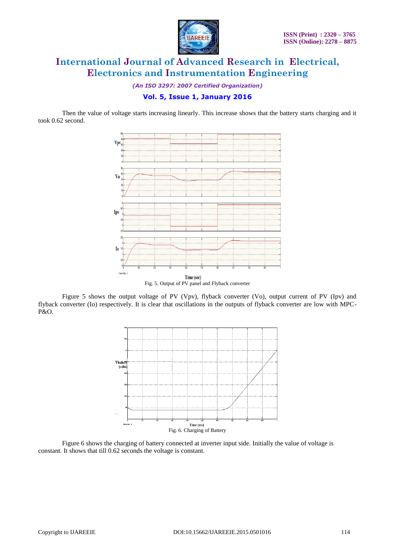

*(An ISO 3297: 2007 Certified Organization)*

### **Vol. 5, Issue 1, January 2016**

Then the value of voltage starts increasing linearly. This increase shows that the battery starts charging and it took 0.62 second.



Fig. 5. Output of PV panel and Flyback converter

Figure 5 shows the output voltage of PV (Vpv), flyback converter (Vo), output current of PV (Ipv) and flyback converter (Io) respectively. It is clear that oscillations in the outputs of flyback converter are low with MPC-P&O.



Figure 6 shows the charging of battery connected at inverter input side. Initially the value of voltage is constant. It shows that till 0.62 seconds the voltage is constant.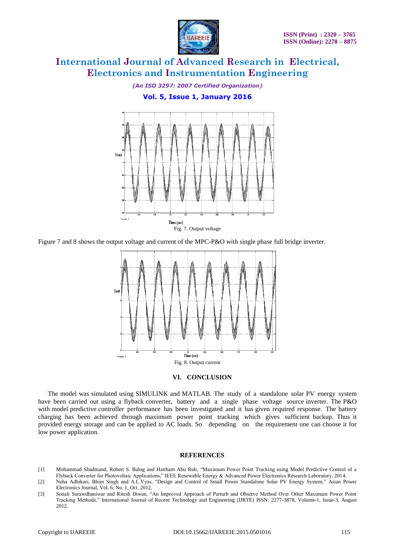

*(An ISO 3297: 2007 Certified Organization)*

### **Vol. 5, Issue 1, January 2016**



Figure 7 and 8 shows the output voltage and current of the MPC-P&O with single phase full bridge inverter.



#### **VI. CONCLUSION**

The model was simulated using SIMULINK and MATLAB. The study of a standalone solar PV energy system have been carried out using a flyback converter, battery and a single phase voltage source inverter. The P&O with model predictive controller performance has been investigated and it has given required response. The battery charging has been achieved through maximum power point tracking which gives sufficient backup. Thus it provided energy storage and can be applied to AC loads. So depending on the requirement one can choose it for low power application.

#### **REFERENCES**

- [1] Mohammad Shadmand, Robert S. Balog and Haitham Abu Rub*,* "Maximum Power Point Tracking using Model Predictive Control of a Flyback Converter for Photovoltaic Applications," IEEE Renewable Energy & Advanced Power Electronics Research Laboratory, 2014.
- [2] Neha Adhikari, Bhim Singh and A.L.Vyas, "Design and Control of Small Power Standalone Solar PV Energy System," Asian Power Electronics Journal, Vol. 6, No. 1, Oct. 2012.
- [3] Sonali Surawdhaniwar and Ritesh Diwan, "An Improved Approach of Perturb and Observe Method Over Other Maximum Power Point Tracking Methods," International Journal of Recent Technology and Engineering (IJRTE) ISSN: 2277-3878, Volume-1, Issue-3, August 2012.